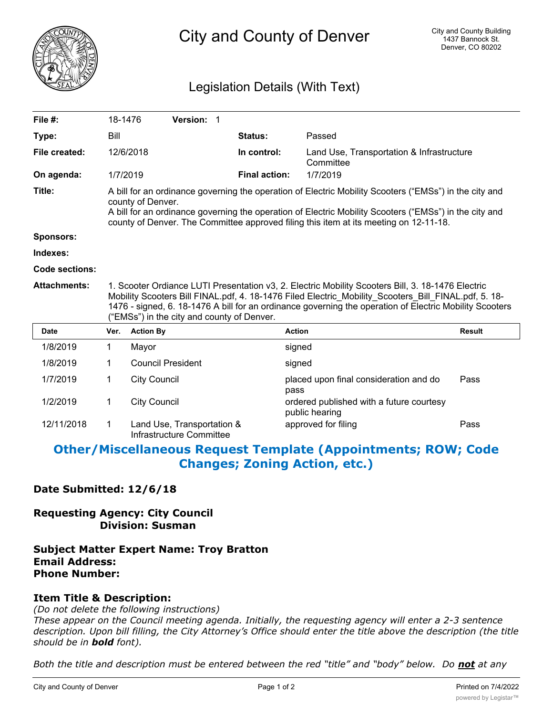

City and County of Denver

# Legislation Details (With Text)

| File $#$ :          | 18-1476                                                                                                                                                                                                                                                                                                                                                            |                          | Version: 1 |  |                      |                                                            |               |
|---------------------|--------------------------------------------------------------------------------------------------------------------------------------------------------------------------------------------------------------------------------------------------------------------------------------------------------------------------------------------------------------------|--------------------------|------------|--|----------------------|------------------------------------------------------------|---------------|
| Type:               | Bill                                                                                                                                                                                                                                                                                                                                                               |                          |            |  | Status:              | Passed                                                     |               |
| File created:       |                                                                                                                                                                                                                                                                                                                                                                    | 12/6/2018                |            |  | In control:          | Land Use, Transportation & Infrastructure<br>Committee     |               |
| On agenda:          | 1/7/2019                                                                                                                                                                                                                                                                                                                                                           |                          |            |  | <b>Final action:</b> | 1/7/2019                                                   |               |
| Title:              | A bill for an ordinance governing the operation of Electric Mobility Scooters ("EMSs") in the city and<br>county of Denver.<br>A bill for an ordinance governing the operation of Electric Mobility Scooters ("EMSs") in the city and<br>county of Denver. The Committee approved filing this item at its meeting on 12-11-18.                                     |                          |            |  |                      |                                                            |               |
| <b>Sponsors:</b>    |                                                                                                                                                                                                                                                                                                                                                                    |                          |            |  |                      |                                                            |               |
| Indexes:            |                                                                                                                                                                                                                                                                                                                                                                    |                          |            |  |                      |                                                            |               |
| Code sections:      |                                                                                                                                                                                                                                                                                                                                                                    |                          |            |  |                      |                                                            |               |
|                     | 1. Scooter Ordiance LUTI Presentation v3, 2. Electric Mobility Scooters Bill, 3. 18-1476 Electric<br>Mobility Scooters Bill FINAL.pdf, 4. 18-1476 Filed Electric_Mobility_Scooters_Bill_FINAL.pdf, 5. 18-<br>1476 - signed, 6. 18-1476 A bill for an ordinance governing the operation of Electric Mobility Scooters<br>("EMSs") in the city and county of Denver. |                          |            |  |                      |                                                            |               |
| <b>Attachments:</b> |                                                                                                                                                                                                                                                                                                                                                                    |                          |            |  |                      |                                                            |               |
| <b>Date</b>         | Ver.                                                                                                                                                                                                                                                                                                                                                               | <b>Action By</b>         |            |  |                      | <b>Action</b>                                              | <b>Result</b> |
| 1/8/2019            | 1.                                                                                                                                                                                                                                                                                                                                                                 | Mayor                    |            |  |                      | signed                                                     |               |
| 1/8/2019            | 1                                                                                                                                                                                                                                                                                                                                                                  | <b>Council President</b> |            |  |                      | signed                                                     |               |
| 1/7/2019            | 1                                                                                                                                                                                                                                                                                                                                                                  | <b>City Council</b>      |            |  |                      | placed upon final consideration and do<br>pass             | Pass          |
| 1/2/2019            | 1                                                                                                                                                                                                                                                                                                                                                                  | <b>City Council</b>      |            |  |                      | ordered published with a future courtesy<br>public hearing |               |

# **Other/Miscellaneous Request Template (Appointments; ROW; Code Changes; Zoning Action, etc.)**

### **Date Submitted: 12/6/18**

## **Requesting Agency: City Council Division: Susman**

#### **Subject Matter Expert Name: Troy Bratton Email Address: Phone Number:**

### **Item Title & Description:**

*(Do not delete the following instructions)*

*These appear on the Council meeting agenda. Initially, the requesting agency will enter a 2-3 sentence description. Upon bill filling, the City Attorney's Office should enter the title above the description (the title should be in bold font).*

*Both the title and description must be entered between the red "title" and "body" below. Do not at any*